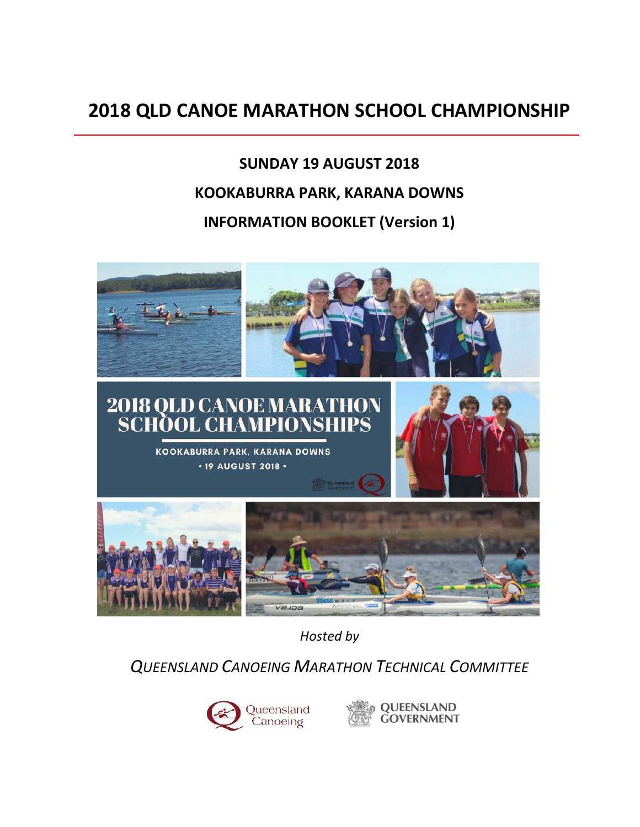# **2018 QLD CANOE MARATHON SCHOOL CHAMPIONSHIP**

# **SUNDAY 19 AUGUST 2018 KOOKABURRA PARK, KARANA DOWNS INFORMATION BOOKLET (Version 1)**



*Hosted by*

*QUEENSLAND CANOEING MARATHON TECHNICAL COMMITTEE*



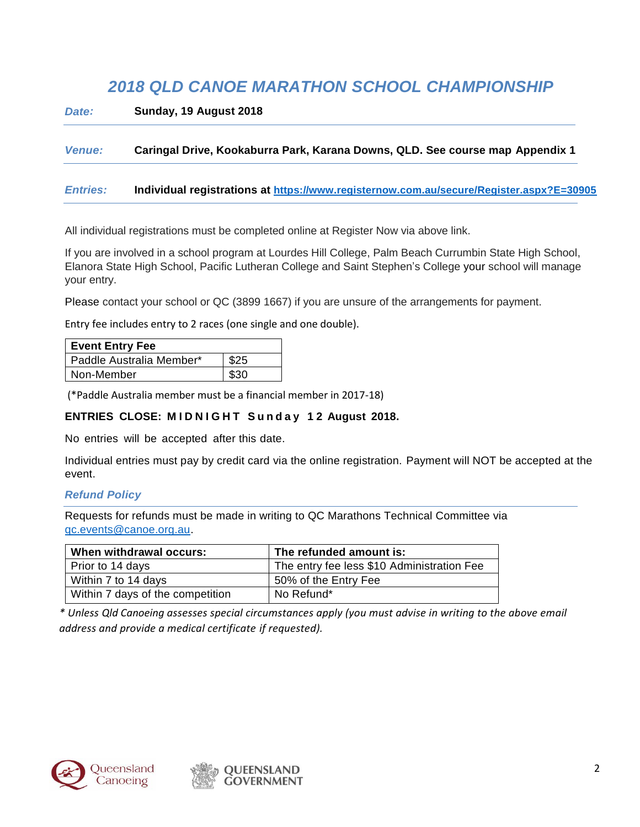# *2018 QLD CANOE MARATHON SCHOOL CHAMPIONSHIP*

*Date:* **Sunday, 19 August 2018**

#### *Venue:* **Caringal Drive, Kookaburra Park, Karana Downs, QLD. See course map Appendix 1**

#### *Entries:* **Individual registrations at <https://www.registernow.com.au/secure/Register.aspx?E=30905>**

All individual registrations must be completed online at Register Now via above link.

If you are involved in a school program at Lourdes Hill College, Palm Beach Currumbin State High School, Elanora State High School, Pacific Lutheran College and Saint Stephen's College your school will manage your entry.

Please contact your school or QC (3899 1667) if you are unsure of the arrangements for payment.

Entry fee includes entry to 2 races (one single and one double).

| <b>Event Entry Fee</b>   |      |
|--------------------------|------|
| Paddle Australia Member* | \$25 |
| Non-Member               | \$30 |

(\*Paddle Australia member must be a financial member in 2017-18)

# **ENTRIES CLOSE: M I D N I G H T S u n d a y 1 2 August 2018.**

No entries will be accepted after this date.

Individual entries must pay by credit card via the online registration. Payment will NOT be accepted at the event.

#### *Refund Policy*

Requests for refunds must be made in writing to QC Marathons Technical Committee via [qc.events@canoe.org.au.](mailto:qc.events@canoe.org.au)

| When withdrawal occurs:          | The refunded amount is:                    |
|----------------------------------|--------------------------------------------|
| Prior to 14 days                 | The entry fee less \$10 Administration Fee |
| Within 7 to 14 days              | 50% of the Entry Fee                       |
| Within 7 days of the competition | No Refund*                                 |

*\* Unless Qld Canoeing assesses special circumstances apply (you must advise in writing to the above email address and provide a medical certificate if requested).*



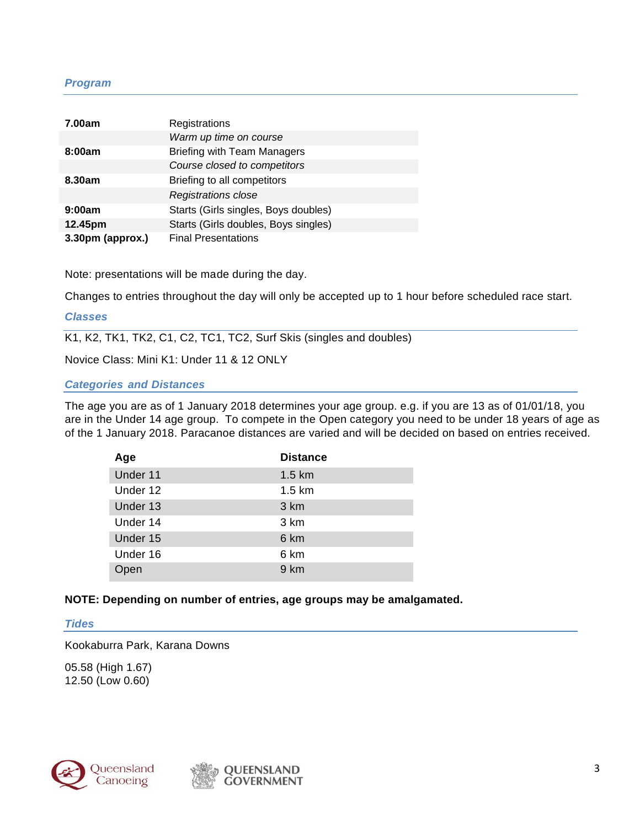## *Program*

| 7.00am           | Registrations                        |
|------------------|--------------------------------------|
|                  | Warm up time on course               |
| 8:00am           | <b>Briefing with Team Managers</b>   |
|                  | Course closed to competitors         |
| 8.30am           | Briefing to all competitors          |
|                  | Registrations close                  |
| 9:00am           | Starts (Girls singles, Boys doubles) |
| 12.45pm          | Starts (Girls doubles, Boys singles) |
| 3.30pm (approx.) | <b>Final Presentations</b>           |

Note: presentations will be made during the day.

Changes to entries throughout the day will only be accepted up to 1 hour before scheduled race start.

#### *Classes*

K1, K2, TK1, TK2, C1, C2, TC1, TC2, Surf Skis (singles and doubles)

Novice Class: Mini K1: Under 11 & 12 ONLY

#### *Categories and Distances*

The age you are as of 1 January 2018 determines your age group. e.g. if you are 13 as of 01/01/18, you are in the Under 14 age group. To compete in the Open category you need to be under 18 years of age as of the 1 January 2018. Paracanoe distances are varied and will be decided on based on entries received.

| Age      | <b>Distance</b> |
|----------|-----------------|
| Under 11 | 1.5 km          |
| Under 12 | 1.5 km          |
| Under 13 | 3 km            |
| Under 14 | 3 km            |
| Under 15 | 6 km            |
| Under 16 | 6 km            |
| Open     | 9 km            |

#### **NOTE: Depending on number of entries, age groups may be amalgamated.**

# *Tides*

Kookaburra Park, Karana Downs

05.58 (High 1.67) 12.50 (Low 0.60)



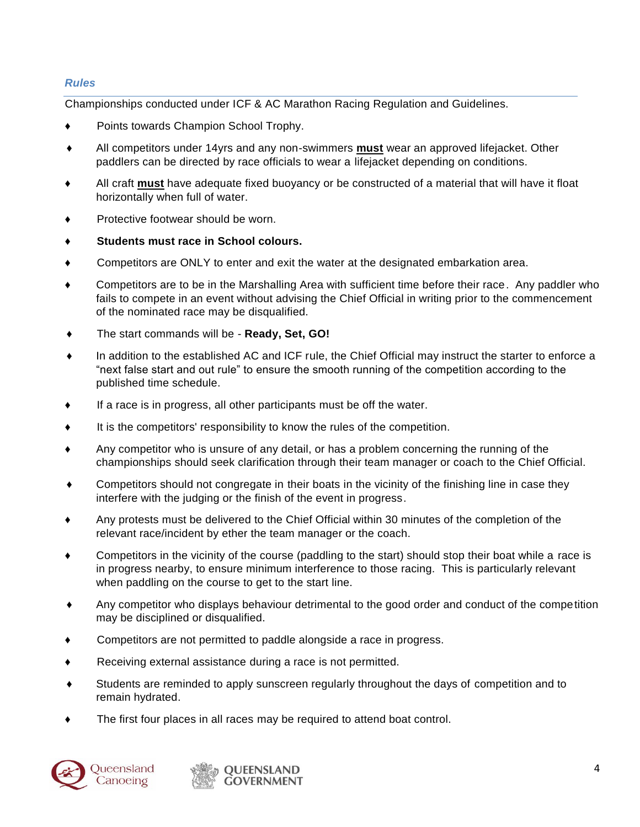## *Rules*

Championships conducted under ICF & AC Marathon Racing Regulation and Guidelines.

- Points towards Champion School Trophy.
- All competitors under 14yrs and any non-swimmers **must** wear an approved lifejacket. Other paddlers can be directed by race officials to wear a lifejacket depending on conditions.
- All craft **must** have adequate fixed buoyancy or be constructed of a material that will have it float horizontally when full of water.
- Protective footwear should be worn.
- **Students must race in School colours.**
- ♦ Competitors are ONLY to enter and exit the water at the designated embarkation area.
- ♦ Competitors are to be in the Marshalling Area with sufficient time before their race. Any paddler who fails to compete in an event without advising the Chief Official in writing prior to the commencement of the nominated race may be disqualified.
- ♦ The start commands will be **Ready, Set, GO!**
- In addition to the established AC and ICF rule, the Chief Official may instruct the starter to enforce a "next false start and out rule" to ensure the smooth running of the competition according to the published time schedule.
- ♦ If a race is in progress, all other participants must be off the water.
- ♦ It is the competitors' responsibility to know the rules of the competition.
- Any competitor who is unsure of any detail, or has a problem concerning the running of the championships should seek clarification through their team manager or coach to the Chief Official.
- Competitors should not congregate in their boats in the vicinity of the finishing line in case they interfere with the judging or the finish of the event in progress.
- Any protests must be delivered to the Chief Official within 30 minutes of the completion of the relevant race/incident by ether the team manager or the coach.
- ♦ Competitors in the vicinity of the course (paddling to the start) should stop their boat while a race is in progress nearby, to ensure minimum interference to those racing. This is particularly relevant when paddling on the course to get to the start line.
- ♦ Any competitor who displays behaviour detrimental to the good order and conduct of the competition may be disciplined or disqualified.
- Competitors are not permitted to paddle alongside a race in progress.
- ♦ Receiving external assistance during a race is not permitted.
- ♦ Students are reminded to apply sunscreen regularly throughout the days of competition and to remain hydrated.
- The first four places in all races may be required to attend boat control.





**OUEENSLAND GOVERNMENT**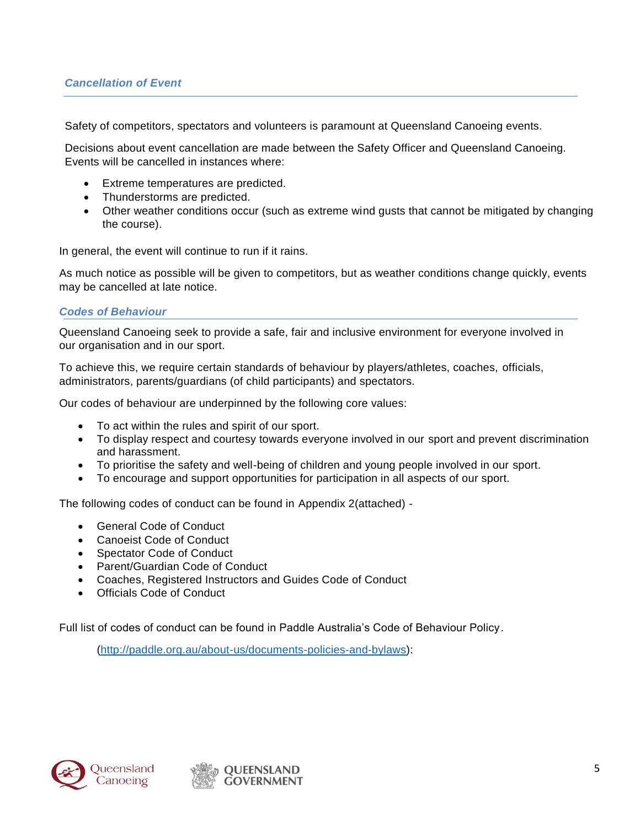Safety of competitors, spectators and volunteers is paramount at Queensland Canoeing events.

Decisions about event cancellation are made between the Safety Officer and Queensland Canoeing. Events will be cancelled in instances where:

- Extreme temperatures are predicted.
- Thunderstorms are predicted.
- Other weather conditions occur (such as extreme wind gusts that cannot be mitigated by changing the course).

In general, the event will continue to run if it rains.

As much notice as possible will be given to competitors, but as weather conditions change quickly, events may be cancelled at late notice.

#### *Codes of Behaviour*

Queensland Canoeing seek to provide a safe, fair and inclusive environment for everyone involved in our organisation and in our sport.

To achieve this, we require certain standards of behaviour by players/athletes, coaches, officials, administrators, parents/guardians (of child participants) and spectators.

Our codes of behaviour are underpinned by the following core values:

- To act within the rules and spirit of our sport.
- To display respect and courtesy towards everyone involved in our sport and prevent discrimination and harassment.
- To prioritise the safety and well-being of children and young people involved in our sport.
- To encourage and support opportunities for participation in all aspects of our sport.

The following codes of conduct can be found in Appendix 2(attached) -

- General Code of Conduct
- Canoeist Code of Conduct
- Spectator Code of Conduct
- Parent/Guardian Code of Conduct
- Coaches, Registered Instructors and Guides Code of Conduct
- Officials Code of Conduct

Full list of codes of conduct can be found in Paddle Australia's Code of Behaviour Policy.

[\(http://paddle.org.au/about-us/documents-policies-and-bylaws\)](http://paddle.org.au/about-us/documents-policies-and-bylaws):

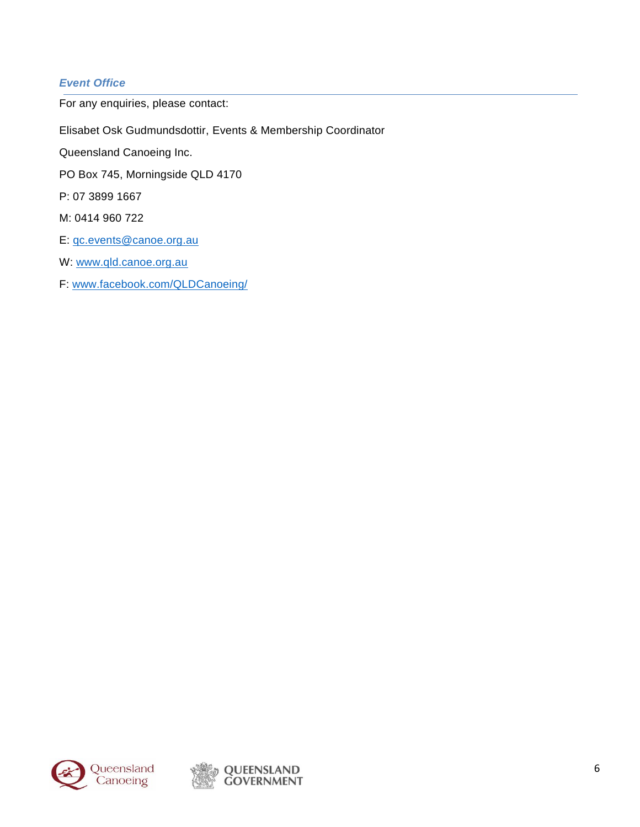# *Event Office*

For any enquiries, please contact:

Elisabet Osk Gudmundsdottir, Events & Membership Coordinator

Queensland Canoeing Inc.

PO Box 745, Morningside QLD 4170

P: 07 3899 1667

M: 0414 960 722

E: [qc.events@canoe.org.au](mailto:qc.events@canoe.org.au)

W: [www.qld.canoe.org.au](http://www.qld.canoe.org.au/)

F: [www.facebook.com/QLDCanoeing/](file://///cansbs01/qcadmin/1.0%20Paddlesports/1.4%20Canoe%20Marathon/5.%20School%20State%20Champs/2018/Information%20Booklet/www.facebook.com/QLDCanoeing/)

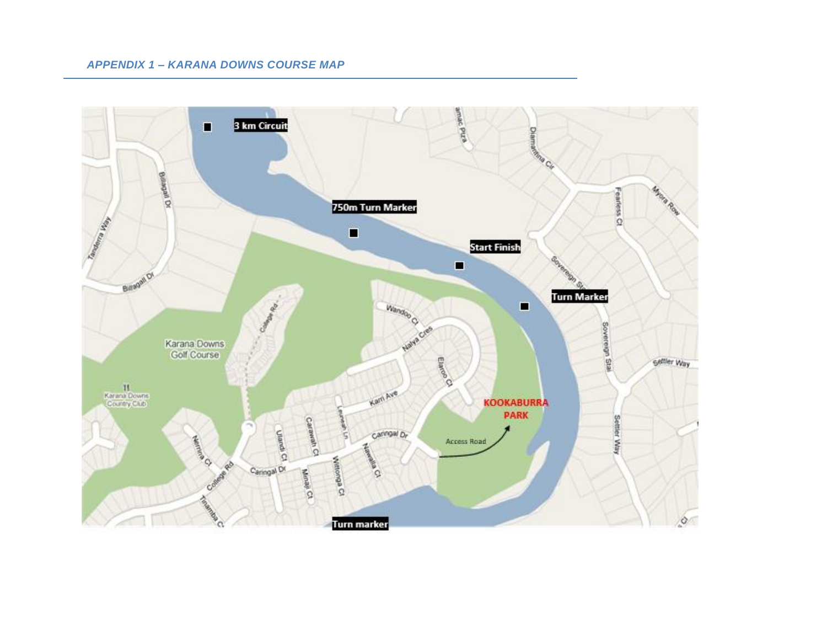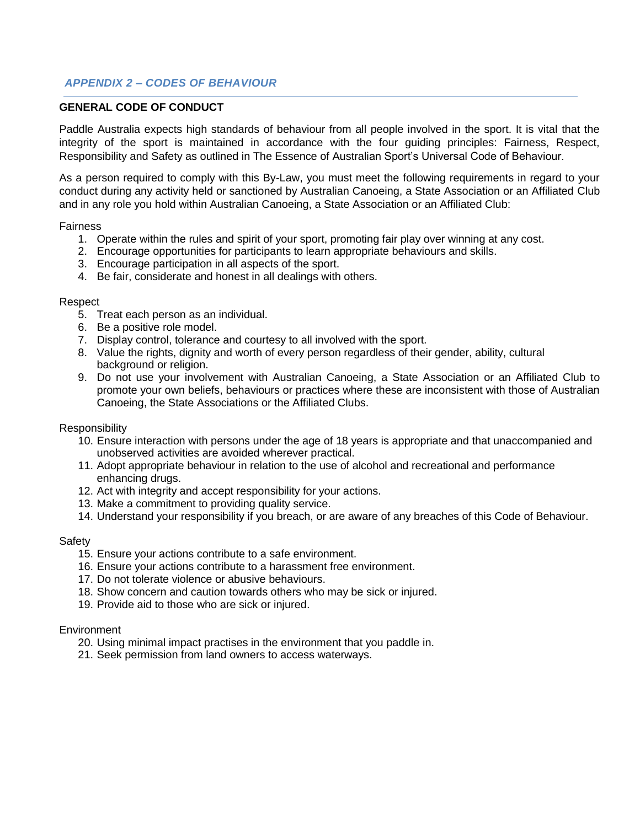## *APPENDIX 2 – CODES OF BEHAVIOUR*

#### **GENERAL CODE OF CONDUCT**

Paddle Australia expects high standards of behaviour from all people involved in the sport. It is vital that the integrity of the sport is maintained in accordance with the four guiding principles: Fairness, Respect, Responsibility and Safety as outlined in The Essence of Australian Sport's Universal Code of Behaviour.

As a person required to comply with this By-Law, you must meet the following requirements in regard to your conduct during any activity held or sanctioned by Australian Canoeing, a State Association or an Affiliated Club and in any role you hold within Australian Canoeing, a State Association or an Affiliated Club:

#### Fairness

- 1. Operate within the rules and spirit of your sport, promoting fair play over winning at any cost.
- 2. Encourage opportunities for participants to learn appropriate behaviours and skills.
- 3. Encourage participation in all aspects of the sport.
- 4. Be fair, considerate and honest in all dealings with others.

#### **Respect**

- 5. Treat each person as an individual.
- 6. Be a positive role model.
- 7. Display control, tolerance and courtesy to all involved with the sport.
- 8. Value the rights, dignity and worth of every person regardless of their gender, ability, cultural background or religion.
- 9. Do not use your involvement with Australian Canoeing, a State Association or an Affiliated Club to promote your own beliefs, behaviours or practices where these are inconsistent with those of Australian Canoeing, the State Associations or the Affiliated Clubs.

#### **Responsibility**

- 10. Ensure interaction with persons under the age of 18 years is appropriate and that unaccompanied and unobserved activities are avoided wherever practical.
- 11. Adopt appropriate behaviour in relation to the use of alcohol and recreational and performance enhancing drugs.
- 12. Act with integrity and accept responsibility for your actions.
- 13. Make a commitment to providing quality service.
- 14. Understand your responsibility if you breach, or are aware of any breaches of this Code of Behaviour.

#### Safety

- 15. Ensure your actions contribute to a safe environment.
- 16. Ensure your actions contribute to a harassment free environment.
- 17. Do not tolerate violence or abusive behaviours.
- 18. Show concern and caution towards others who may be sick or injured.
- 19. Provide aid to those who are sick or injured.

#### **Environment**

- 20. Using minimal impact practises in the environment that you paddle in.
- 21. Seek permission from land owners to access waterways.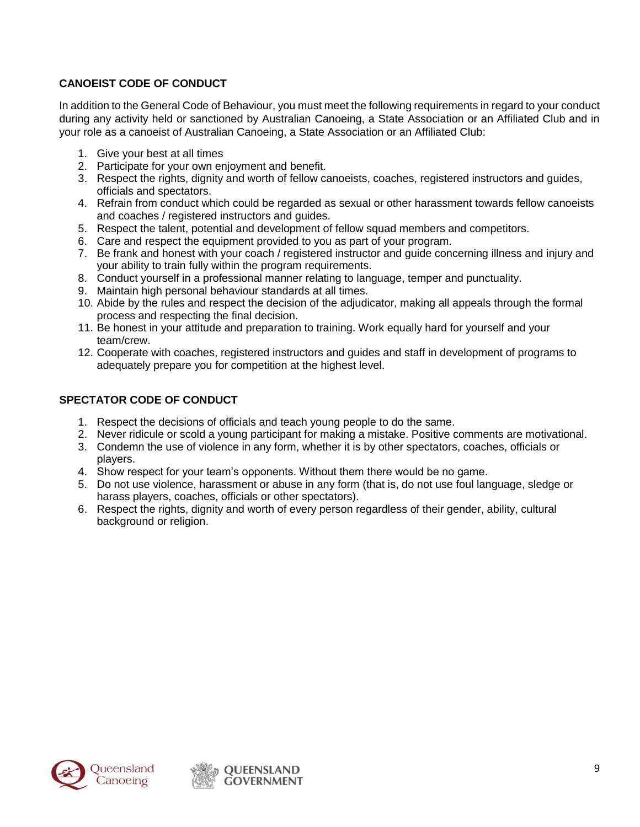# **CANOEIST CODE OF CONDUCT**

In addition to the General Code of Behaviour, you must meet the following requirements in regard to your conduct during any activity held or sanctioned by Australian Canoeing, a State Association or an Affiliated Club and in your role as a canoeist of Australian Canoeing, a State Association or an Affiliated Club:

- 1. Give your best at all times
- 2. Participate for your own enjoyment and benefit.
- 3. Respect the rights, dignity and worth of fellow canoeists, coaches, registered instructors and guides, officials and spectators.
- 4. Refrain from conduct which could be regarded as sexual or other harassment towards fellow canoeists and coaches / registered instructors and guides.
- 5. Respect the talent, potential and development of fellow squad members and competitors.
- 6. Care and respect the equipment provided to you as part of your program.
- 7. Be frank and honest with your coach / registered instructor and guide concerning illness and injury and your ability to train fully within the program requirements.
- 8. Conduct yourself in a professional manner relating to language, temper and punctuality.
- 9. Maintain high personal behaviour standards at all times.
- 10. Abide by the rules and respect the decision of the adjudicator, making all appeals through the formal process and respecting the final decision.
- 11. Be honest in your attitude and preparation to training. Work equally hard for yourself and your team/crew.
- 12. Cooperate with coaches, registered instructors and guides and staff in development of programs to adequately prepare you for competition at the highest level.

# **SPECTATOR CODE OF CONDUCT**

- 1. Respect the decisions of officials and teach young people to do the same.
- 2. Never ridicule or scold a young participant for making a mistake. Positive comments are motivational.
- 3. Condemn the use of violence in any form, whether it is by other spectators, coaches, officials or players.
- 4. Show respect for your team's opponents. Without them there would be no game.
- 5. Do not use violence, harassment or abuse in any form (that is, do not use foul language, sledge or harass players, coaches, officials or other spectators).
- 6. Respect the rights, dignity and worth of every person regardless of their gender, ability, cultural background or religion.



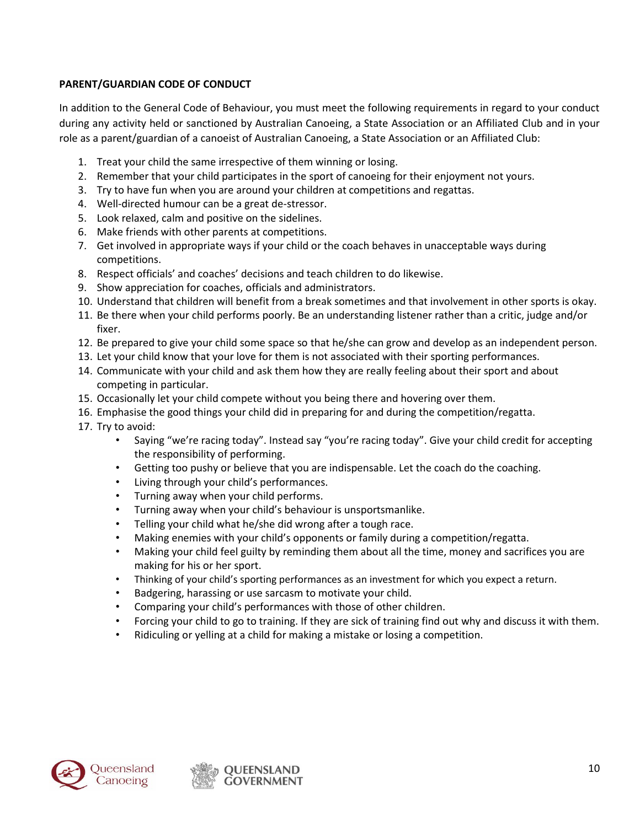# **PARENT/GUARDIAN CODE OF CONDUCT**

In addition to the General Code of Behaviour, you must meet the following requirements in regard to your conduct during any activity held or sanctioned by Australian Canoeing, a State Association or an Affiliated Club and in your role as a parent/guardian of a canoeist of Australian Canoeing, a State Association or an Affiliated Club:

- 1. Treat your child the same irrespective of them winning or losing.
- 2. Remember that your child participates in the sport of canoeing for their enjoyment not yours.
- 3. Try to have fun when you are around your children at competitions and regattas.
- 4. Well-directed humour can be a great de-stressor.
- 5. Look relaxed, calm and positive on the sidelines.
- 6. Make friends with other parents at competitions.
- 7. Get involved in appropriate ways if your child or the coach behaves in unacceptable ways during competitions.
- 8. Respect officials' and coaches' decisions and teach children to do likewise.
- 9. Show appreciation for coaches, officials and administrators.
- 10. Understand that children will benefit from a break sometimes and that involvement in other sports is okay.
- 11. Be there when your child performs poorly. Be an understanding listener rather than a critic, judge and/or fixer.
- 12. Be prepared to give your child some space so that he/she can grow and develop as an independent person.
- 13. Let your child know that your love for them is not associated with their sporting performances.
- 14. Communicate with your child and ask them how they are really feeling about their sport and about competing in particular.
- 15. Occasionally let your child compete without you being there and hovering over them.
- 16. Emphasise the good things your child did in preparing for and during the competition/regatta.
- 17. Try to avoid:
	- Saying "we're racing today". Instead say "you're racing today". Give your child credit for accepting the responsibility of performing.
	- Getting too pushy or believe that you are indispensable. Let the coach do the coaching.
	- Living through your child's performances.
	- Turning away when your child performs.
	- Turning away when your child's behaviour is unsportsmanlike.
	- Telling your child what he/she did wrong after a tough race.
	- Making enemies with your child's opponents or family during a competition/regatta.
	- Making your child feel guilty by reminding them about all the time, money and sacrifices you are making for his or her sport.
	- Thinking of your child's sporting performances as an investment for which you expect a return.
	- Badgering, harassing or use sarcasm to motivate your child.
	- Comparing your child's performances with those of other children.
	- Forcing your child to go to training. If they are sick of training find out why and discuss it with them.
	- Ridiculing or yelling at a child for making a mistake or losing a competition.

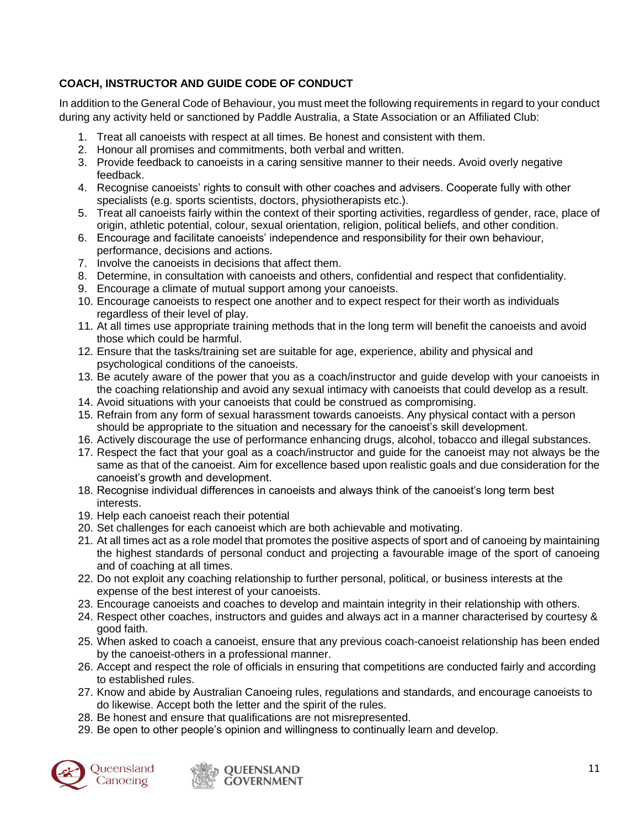# **COACH, INSTRUCTOR AND GUIDE CODE OF CONDUCT**

In addition to the General Code of Behaviour, you must meet the following requirements in regard to your conduct during any activity held or sanctioned by Paddle Australia, a State Association or an Affiliated Club:

- 1. Treat all canoeists with respect at all times. Be honest and consistent with them.
- 2. Honour all promises and commitments, both verbal and written.
- 3. Provide feedback to canoeists in a caring sensitive manner to their needs. Avoid overly negative feedback.
- 4. Recognise canoeists' rights to consult with other coaches and advisers. Cooperate fully with other specialists (e.g. sports scientists, doctors, physiotherapists etc.).
- 5. Treat all canoeists fairly within the context of their sporting activities, regardless of gender, race, place of origin, athletic potential, colour, sexual orientation, religion, political beliefs, and other condition.
- 6. Encourage and facilitate canoeists' independence and responsibility for their own behaviour, performance, decisions and actions.
- 7. Involve the canoeists in decisions that affect them.
- 8. Determine, in consultation with canoeists and others, confidential and respect that confidentiality.
- 9. Encourage a climate of mutual support among your canoeists.
- 10. Encourage canoeists to respect one another and to expect respect for their worth as individuals regardless of their level of play.
- 11. At all times use appropriate training methods that in the long term will benefit the canoeists and avoid those which could be harmful.
- 12. Ensure that the tasks/training set are suitable for age, experience, ability and physical and psychological conditions of the canoeists.
- 13. Be acutely aware of the power that you as a coach/instructor and guide develop with your canoeists in the coaching relationship and avoid any sexual intimacy with canoeists that could develop as a result.
- 14. Avoid situations with your canoeists that could be construed as compromising.
- 15. Refrain from any form of sexual harassment towards canoeists. Any physical contact with a person should be appropriate to the situation and necessary for the canoeist's skill development.
- 16. Actively discourage the use of performance enhancing drugs, alcohol, tobacco and illegal substances.
- 17. Respect the fact that your goal as a coach/instructor and guide for the canoeist may not always be the same as that of the canoeist. Aim for excellence based upon realistic goals and due consideration for the canoeist's growth and development.
- 18. Recognise individual differences in canoeists and always think of the canoeist's long term best interests.
- 19. Help each canoeist reach their potential
- 20. Set challenges for each canoeist which are both achievable and motivating.
- 21. At all times act as a role model that promotes the positive aspects of sport and of canoeing by maintaining the highest standards of personal conduct and projecting a favourable image of the sport of canoeing and of coaching at all times.
- 22. Do not exploit any coaching relationship to further personal, political, or business interests at the expense of the best interest of your canoeists.
- 23. Encourage canoeists and coaches to develop and maintain integrity in their relationship with others.
- 24. Respect other coaches, instructors and guides and always act in a manner characterised by courtesy & good faith.
- 25. When asked to coach a canoeist, ensure that any previous coach-canoeist relationship has been ended by the canoeist-others in a professional manner.
- 26. Accept and respect the role of officials in ensuring that competitions are conducted fairly and according to established rules.
- 27. Know and abide by Australian Canoeing rules, regulations and standards, and encourage canoeists to do likewise. Accept both the letter and the spirit of the rules.
- 28. Be honest and ensure that qualifications are not misrepresented.
- 29. Be open to other people's opinion and willingness to continually learn and develop.